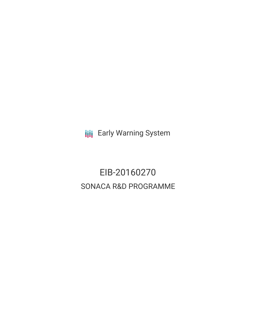**III** Early Warning System

EIB-20160270 SONACA R&D PROGRAMME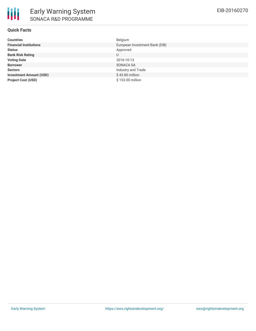# **Quick Facts**

| <b>Countries</b>               | Belgium                        |
|--------------------------------|--------------------------------|
| <b>Financial Institutions</b>  | European Investment Bank (EIB) |
| <b>Status</b>                  | Approved                       |
| <b>Bank Risk Rating</b>        | U                              |
| <b>Voting Date</b>             | 2016-10-13                     |
| <b>Borrower</b>                | SONACA SA                      |
| <b>Sectors</b>                 | Industry and Trade             |
| <b>Investment Amount (USD)</b> | \$43.80 million                |
| <b>Project Cost (USD)</b>      | \$153,00 million               |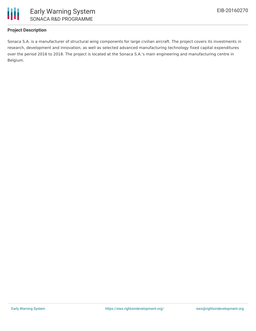

# **Project Description**

Sonaca S.A. is a manufacturer of structural wing components for large civilian aircraft. The project covers its investments in research, development and innovation, as well as selected advanced manufacturing technology fixed capital expenditures over the period 2016 to 2018. The project is located at the Sonaca S.A.'s main engineering and manufacturing centre in Belgium.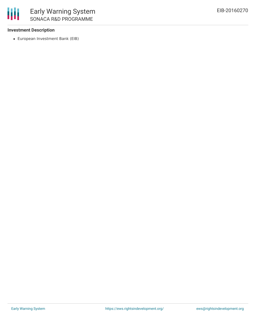### **Investment Description**

European Investment Bank (EIB)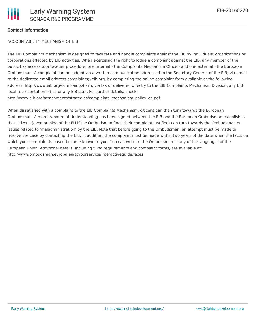#### **Contact Information**

#### ACCOUNTABILITY MECHANISM OF EIB

The EIB Complaints Mechanism is designed to facilitate and handle complaints against the EIB by individuals, organizations or corporations affected by EIB activities. When exercising the right to lodge a complaint against the EIB, any member of the public has access to a two-tier procedure, one internal - the Complaints Mechanism Office - and one external - the European Ombudsman. A complaint can be lodged via a written communication addressed to the Secretary General of the EIB, via email to the dedicated email address complaints@eib.org, by completing the online complaint form available at the following address: http://www.eib.org/complaints/form, via fax or delivered directly to the EIB Complaints Mechanism Division, any EIB local representation office or any EIB staff. For further details, check: http://www.eib.org/attachments/strategies/complaints\_mechanism\_policy\_en.pdf

When dissatisfied with a complaint to the EIB Complaints Mechanism, citizens can then turn towards the European Ombudsman. A memorandum of Understanding has been signed between the EIB and the European Ombudsman establishes that citizens (even outside of the EU if the Ombudsman finds their complaint justified) can turn towards the Ombudsman on issues related to 'maladministration' by the EIB. Note that before going to the Ombudsman, an attempt must be made to resolve the case by contacting the EIB. In addition, the complaint must be made within two years of the date when the facts on which your complaint is based became known to you. You can write to the Ombudsman in any of the languages of the European Union. Additional details, including filing requirements and complaint forms, are available at: http://www.ombudsman.europa.eu/atyourservice/interactiveguide.faces